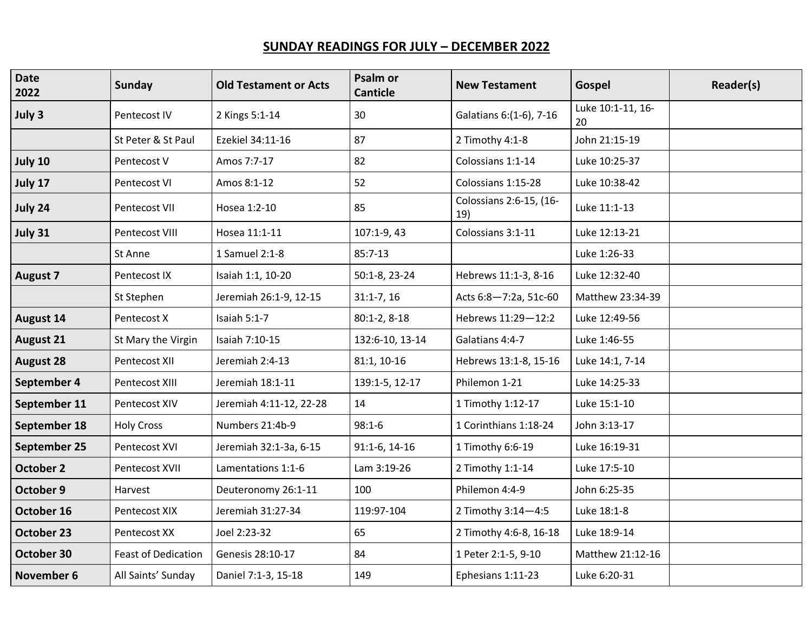## **SUNDAY READINGS FOR JULY – DECEMBER 2022**

| <b>Date</b><br>2022 | <b>Sunday</b>              | <b>Old Testament or Acts</b> | Psalm or<br><b>Canticle</b> | <b>New Testament</b>           | Gospel                  | Reader(s) |
|---------------------|----------------------------|------------------------------|-----------------------------|--------------------------------|-------------------------|-----------|
| July 3              | Pentecost IV               | 2 Kings 5:1-14               | 30                          | Galatians 6:(1-6), 7-16        | Luke 10:1-11, 16-<br>20 |           |
|                     | St Peter & St Paul         | Ezekiel 34:11-16             | 87                          | 2 Timothy 4:1-8                | John 21:15-19           |           |
| July 10             | Pentecost V                | Amos 7:7-17                  | 82                          | Colossians 1:1-14              | Luke 10:25-37           |           |
| July 17             | Pentecost VI               | Amos 8:1-12                  | 52                          | Colossians 1:15-28             | Luke 10:38-42           |           |
| July 24             | Pentecost VII              | Hosea 1:2-10                 | 85                          | Colossians 2:6-15, (16-<br>19) | Luke 11:1-13            |           |
| July 31             | Pentecost VIII             | Hosea 11:1-11                | 107:1-9, 43                 | Colossians 3:1-11              | Luke 12:13-21           |           |
|                     | St Anne                    | 1 Samuel 2:1-8               | $85:7-13$                   |                                | Luke 1:26-33            |           |
| <b>August 7</b>     | Pentecost IX               | Isaiah 1:1, 10-20            | 50:1-8, 23-24               | Hebrews 11:1-3, 8-16           | Luke 12:32-40           |           |
|                     | St Stephen                 | Jeremiah 26:1-9, 12-15       | $31:1-7,16$                 | Acts 6:8-7:2a, 51c-60          | Matthew 23:34-39        |           |
| <b>August 14</b>    | Pentecost X                | Isaiah 5:1-7                 | $80:1-2, 8-18$              | Hebrews 11:29-12:2             | Luke 12:49-56           |           |
| <b>August 21</b>    | St Mary the Virgin         | Isaiah 7:10-15               | 132:6-10, 13-14             | Galatians 4:4-7                | Luke 1:46-55            |           |
| <b>August 28</b>    | Pentecost XII              | Jeremiah 2:4-13              | 81:1, 10-16                 | Hebrews 13:1-8, 15-16          | Luke 14:1, 7-14         |           |
| September 4         | Pentecost XIII             | Jeremiah 18:1-11             | 139:1-5, 12-17              | Philemon 1-21                  | Luke 14:25-33           |           |
| September 11        | Pentecost XIV              | Jeremiah 4:11-12, 22-28      | 14                          | 1 Timothy 1:12-17              | Luke 15:1-10            |           |
| September 18        | <b>Holy Cross</b>          | Numbers 21:4b-9              | $98:1-6$                    | 1 Corinthians 1:18-24          | John 3:13-17            |           |
| September 25        | Pentecost XVI              | Jeremiah 32:1-3a, 6-15       | 91:1-6, 14-16               | 1 Timothy 6:6-19               | Luke 16:19-31           |           |
| October 2           | Pentecost XVII             | Lamentations 1:1-6           | Lam 3:19-26                 | 2 Timothy 1:1-14               | Luke 17:5-10            |           |
| October 9           | Harvest                    | Deuteronomy 26:1-11          | 100                         | Philemon 4:4-9                 | John 6:25-35            |           |
| October 16          | Pentecost XIX              | Jeremiah 31:27-34            | 119:97-104                  | 2 Timothy 3:14-4:5             | Luke 18:1-8             |           |
| October 23          | Pentecost XX               | Joel 2:23-32                 | 65                          | 2 Timothy 4:6-8, 16-18         | Luke 18:9-14            |           |
| October 30          | <b>Feast of Dedication</b> | Genesis 28:10-17             | 84                          | 1 Peter 2:1-5, 9-10            | Matthew 21:12-16        |           |
| <b>November 6</b>   | All Saints' Sunday         | Daniel 7:1-3, 15-18          | 149                         | Ephesians 1:11-23              | Luke 6:20-31            |           |